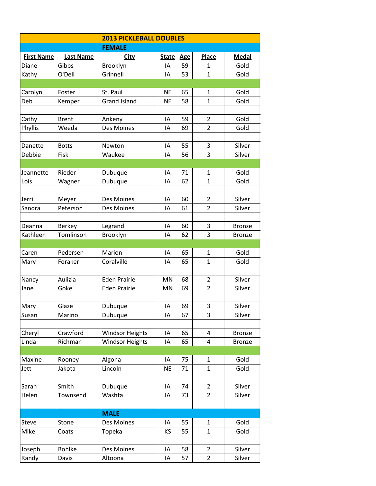| <b>2013 PICKLEBALL DOUBLES</b> |                  |                        |              |            |                |               |  |
|--------------------------------|------------------|------------------------|--------------|------------|----------------|---------------|--|
| <b>FEMALE</b>                  |                  |                        |              |            |                |               |  |
| <b>First Name</b>              | <b>Last Name</b> | <b>City</b>            | <b>State</b> | <b>Age</b> | Place          | <b>Medal</b>  |  |
| Diane                          | Gibbs            | Brooklyn               | IA           | 59         | 1              | Gold          |  |
| Kathy                          | O'Dell           | Grinnell               | IA           | 53         | $\mathbf{1}$   | Gold          |  |
|                                |                  |                        |              |            |                |               |  |
| Carolyn                        | Foster           | St. Paul               | <b>NE</b>    | 65         | $\mathbf{1}$   | Gold          |  |
| Deb                            | Kemper           | <b>Grand Island</b>    | <b>NE</b>    | 58         | $\mathbf{1}$   | Gold          |  |
|                                |                  |                        |              |            |                |               |  |
| Cathy                          | <b>Brent</b>     | Ankeny                 | IA           | 59         | $\overline{2}$ | Gold          |  |
| Phyllis                        | Weeda            | Des Moines             | IA           | 69         | $\overline{2}$ | Gold          |  |
|                                |                  |                        |              |            |                |               |  |
| Danette                        | <b>Botts</b>     | Newton                 | IA           | 55         | 3              | Silver        |  |
| Debbie                         | Fisk             | Waukee                 | IA           | 56         | 3              | Silver        |  |
|                                |                  |                        |              |            |                |               |  |
| Jeannette                      | Rieder           | Dubuque                | IA           | 71         | 1              | Gold          |  |
| Lois                           | Wagner           | Dubuque                | IA           | 62         | $\mathbf{1}$   | Gold          |  |
|                                |                  |                        |              |            |                |               |  |
| Jerri                          | Meyer            | Des Moines             | IA           | 60         | $\overline{2}$ | Silver        |  |
| Sandra                         | Peterson         | Des Moines             | IA           | 61         | $\overline{2}$ | Silver        |  |
|                                |                  |                        |              |            |                |               |  |
| Deanna                         | Berkey           | Legrand                | IA           | 60         | 3              | <b>Bronze</b> |  |
| Kathleen                       | Tomlinson        | Brooklyn               | IA           | 62         | 3              | <b>Bronze</b> |  |
|                                |                  |                        |              |            |                |               |  |
| Caren                          | Pedersen         | Marion                 | IA           | 65         | $\mathbf{1}$   | Gold          |  |
| Mary                           | Foraker          | Coralville             | IA           | 65         | $\mathbf{1}$   | Gold          |  |
|                                |                  |                        |              |            |                |               |  |
| Nancy                          | Aulizia          | <b>Eden Prairie</b>    | MN           | 68         | 2              | Silver        |  |
| Jane                           | Goke             | <b>Eden Prairie</b>    | MN           | 69         | $\overline{2}$ | Silver        |  |
|                                |                  |                        |              |            |                |               |  |
| Mary                           | Glaze            | Dubuque                | IA           | 69         | 3              | Silver        |  |
| Susan                          | Marino           | Dubuque                | IA           | 67         | 3              | Silver        |  |
|                                |                  |                        |              |            |                |               |  |
| Cheryl                         | Crawford         | <b>Windsor Heights</b> | IA           | 65         | 4              | <b>Bronze</b> |  |
| Linda                          | Richman          | <b>Windsor Heights</b> | IA           | 65         | 4              | <b>Bronze</b> |  |
|                                |                  |                        |              |            |                |               |  |
| Maxine                         | Rooney           | Algona                 | IA           | 75         | 1              | Gold          |  |
| Jett                           | Jakota           | Lincoln                | <b>NE</b>    | 71         | $\mathbf{1}$   | Gold          |  |
|                                |                  |                        |              |            |                |               |  |
| Sarah                          | Smith            | Dubuque                | IA           | 74         | 2              | Silver        |  |
| Helen                          | Townsend         | Washta                 | IA           | 73         | $\overline{2}$ | Silver        |  |
|                                |                  |                        |              |            |                |               |  |
|                                |                  | <b>MALE</b>            |              |            |                |               |  |
| <b>Steve</b>                   | Stone            | Des Moines             | IA           | 55         | 1              | Gold          |  |
| Mike                           | Coats            | Topeka                 | KS           | 55         | $\mathbf{1}$   | Gold          |  |
|                                |                  |                        |              |            |                |               |  |
| Joseph                         | <b>Bohlke</b>    | Des Moines             | IA           | 58         | $\overline{2}$ | Silver        |  |
| Randy                          | Davis            | Altoona                | ΙA           | 57         | $\overline{2}$ | Silver        |  |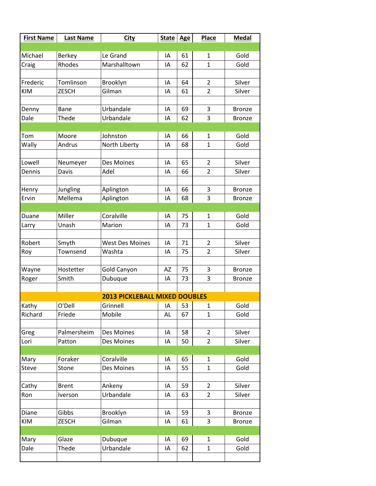| <b>First Name</b> | <b>Last Name</b> | <b>City</b>                          | State Age |    | <b>Place</b>   | <b>Medal</b>  |
|-------------------|------------------|--------------------------------------|-----------|----|----------------|---------------|
|                   |                  |                                      |           |    |                |               |
| Michael           | Berkey           | Le Grand                             | IA        | 61 | $\mathbf{1}$   | Gold          |
| Craig             | Rhodes           | Marshalltown                         | ΙA        | 62 | $\mathbf{1}$   | Gold          |
|                   |                  |                                      |           |    |                |               |
| Frederic          | Tomlinson        | Brooklyn                             | IA        | 64 | $\overline{2}$ | Silver        |
| <b>KIM</b>        | <b>ZESCH</b>     | Gilman                               | IA        | 61 | $\overline{2}$ | Silver        |
|                   |                  |                                      |           |    |                |               |
| Denny             | Bane             | Urbandale                            | IA        | 69 | 3              | <b>Bronze</b> |
| Dale              | Thede            | Urbandale                            | IA        | 62 | 3              | <b>Bronze</b> |
|                   |                  |                                      |           |    |                |               |
| Tom               | Moore            | Johnston                             | IA        | 66 | 1              | Gold          |
| Wally             | Andrus           | North Liberty                        | IA        | 68 | $\mathbf{1}$   | Gold          |
|                   |                  |                                      |           |    |                |               |
| Lowell            | Neumeyer         | <b>Des Moines</b>                    | IA        | 65 | 2              | Silver        |
| Dennis            | <b>Davis</b>     | Adel                                 | IA        | 66 | $\overline{2}$ | Silver        |
|                   |                  |                                      |           |    |                |               |
| Henry             | Jungling         | Aplington                            | IA        | 66 | 3              | <b>Bronze</b> |
| Ervin             | Mellema          | Aplington                            | IA        | 68 | 3              | <b>Bronze</b> |
|                   |                  |                                      |           |    |                |               |
| Duane             | Miller           | Coralville                           | IA        | 75 | $\mathbf{1}$   | Gold          |
| Larry             | Unash            | Marion                               | IA        | 73 | $\mathbf{1}$   | Gold          |
|                   |                  |                                      |           |    |                |               |
| Robert            | Smyth            | <b>West Des Moines</b>               | IA        | 71 | 2              | Silver        |
| Roy               | Townsend         | Washta                               | IA        | 75 | $\overline{2}$ | Silver        |
|                   |                  |                                      |           |    |                |               |
| Wayne             | Hostetter        | Gold Canyon                          | AZ        | 75 | 3              | <b>Bronze</b> |
| Roger             | Smith            | Dubuque                              | IA        | 73 | 3              | <b>Bronze</b> |
|                   |                  |                                      |           |    |                |               |
|                   |                  | <b>2013 PICKLEBALL MIXED DOUBLES</b> |           |    |                |               |
| Kathy             | O'Dell           | Grinnell                             | IA        | 53 | 1              | Gold          |
| Richard           | Friede           | Mobile                               | AL        | 67 | $\mathbf{1}$   | Gold          |
|                   |                  |                                      |           |    |                |               |
| Greg              | Palmersheim      | Des Moines                           | IA        | 58 | $\overline{2}$ | Silver        |
| Lori              | Patton           | Des Moines                           | IA        | 50 | $\overline{2}$ | Silver        |
|                   |                  |                                      |           |    |                |               |
| Mary              | Foraker          | Coralville                           | IA        | 65 | $\mathbf{1}$   | Gold          |
| <b>Steve</b>      | Stone            | Des Moines                           | IA        | 55 | $\mathbf{1}$   | Gold          |
|                   |                  |                                      |           |    |                |               |
| Cathy             | <b>Brent</b>     | Ankeny                               | IA        | 59 | $\overline{2}$ | Silver        |
| Ron               | Iverson          | Urbandale                            | IA        | 63 | $\overline{2}$ | Silver        |
|                   |                  |                                      |           |    |                |               |
| Diane             | Gibbs            | Brooklyn                             | IA        | 59 | 3              | <b>Bronze</b> |
| KIM               | <b>ZESCH</b>     | Gilman                               | IA        | 61 | 3              | <b>Bronze</b> |
|                   |                  |                                      |           |    |                |               |
| Mary              | Glaze            | Dubuque                              | IA        | 69 | $\mathbf{1}$   | Gold          |
| Dale              | Thede            | Urbandale                            | IA        | 62 | $\mathbf{1}$   | Gold          |
|                   |                  |                                      |           |    |                |               |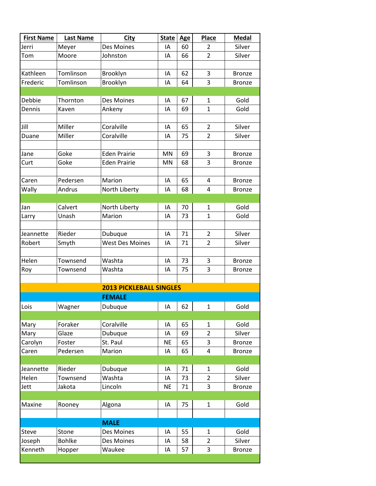| <b>First Name</b> | <b>Last Name</b> | <b>City</b>                    | <b>State</b> | <b>Age</b> | Place          | <b>Medal</b>  |
|-------------------|------------------|--------------------------------|--------------|------------|----------------|---------------|
| Jerri             | Meyer            | Des Moines                     | IA           | 60         | 2              | Silver        |
| Tom               | Moore            | Johnston                       | IA           | 66         | $\overline{2}$ | Silver        |
|                   |                  |                                |              |            |                |               |
| Kathleen          | Tomlinson        | Brooklyn                       | IA           | 62         | 3              | <b>Bronze</b> |
| Frederic          | Tomlinson        | Brooklyn                       | IA           | 64         | 3              | <b>Bronze</b> |
|                   |                  |                                |              |            |                |               |
| Debbie            | Thornton         | Des Moines                     | IA           | 67         | $\mathbf{1}$   | Gold          |
| Dennis            | Kaven            | Ankeny                         | IA           | 69         | $\mathbf{1}$   | Gold          |
|                   |                  |                                |              |            |                |               |
| Jill              | Miller           | Coralville                     | IA           | 65         | 2              | Silver        |
| Duane             | Miller           | Coralville                     | IA           | 75         | $\overline{2}$ | Silver        |
|                   |                  |                                |              |            |                |               |
| Jane              | Goke             | <b>Eden Prairie</b>            | MN           | 69         | 3              | <b>Bronze</b> |
| Curt              | Goke             | <b>Eden Prairie</b>            | MN           | 68         | 3              | <b>Bronze</b> |
|                   |                  |                                |              |            |                |               |
| Caren             | Pedersen         | Marion                         | IA           | 65         | 4              | <b>Bronze</b> |
| Wally             | Andrus           | North Liberty                  | ΙA           | 68         | 4              | <b>Bronze</b> |
|                   |                  |                                |              |            |                |               |
| Jan               | Calvert          | North Liberty                  | IA           | 70         | $\mathbf{1}$   | Gold          |
| Larry             | Unash            | Marion                         | IA           | 73         | $\mathbf{1}$   | Gold          |
|                   |                  |                                |              |            |                |               |
| Jeannette         | Rieder           | Dubuque                        | IA           | 71         | $\overline{2}$ | Silver        |
| Robert            | Smyth            | <b>West Des Moines</b>         | IA           | 71         | 2              | Silver        |
|                   |                  |                                |              |            |                |               |
| Helen             | Townsend         | Washta                         | IA           | 73         | 3              | <b>Bronze</b> |
| Roy               | Townsend         | Washta                         | IA           | 75         | 3              | <b>Bronze</b> |
|                   |                  |                                |              |            |                |               |
|                   |                  | <b>2013 PICKLEBALL SINGLES</b> |              |            |                |               |
|                   |                  | <b>FEMALE</b>                  |              |            |                |               |
| Lois              | Wagner           | Dubuque                        | IA           | 62         | $\mathbf{1}$   | Gold          |
|                   |                  |                                |              |            |                |               |
| Mary              | Foraker          | Coralville                     | IA           | 65         | $\mathbf{1}$   | Gold          |
| Mary              | Glaze            | Dubuque                        | IA           | 69         | $\overline{2}$ | Silver        |
| Carolyn           | Foster           | St. Paul                       | <b>NE</b>    | 65         | 3              | <b>Bronze</b> |
| Caren             | Pedersen         | Marion                         | IA           | 65         | 4              | <b>Bronze</b> |
|                   |                  |                                |              |            |                |               |
| Jeannette         | Rieder           | Dubuque                        | IA           | 71         | $\mathbf{1}$   | Gold          |
| Helen             | Townsend         | Washta                         | IA           | 73         | $\overline{2}$ | Silver        |
| Jett              | Jakota           | Lincoln                        | <b>NE</b>    | 71         | 3              | <b>Bronze</b> |
|                   |                  |                                |              |            |                |               |
| Maxine            | Rooney           | Algona                         | ΙA           | 75         | $\mathbf{1}$   | Gold          |
|                   |                  |                                |              |            |                |               |
|                   |                  | <b>MALE</b>                    |              |            |                |               |
| Steve             | Stone            | Des Moines                     | IA           | 55         | $\mathbf{1}$   | Gold          |
| Joseph            | <b>Bohlke</b>    | Des Moines                     | IA           | 58         | $\overline{2}$ | Silver        |
| Kenneth           | Hopper           | Waukee                         | IA           | 57         | 3              | <b>Bronze</b> |
|                   |                  |                                |              |            |                |               |